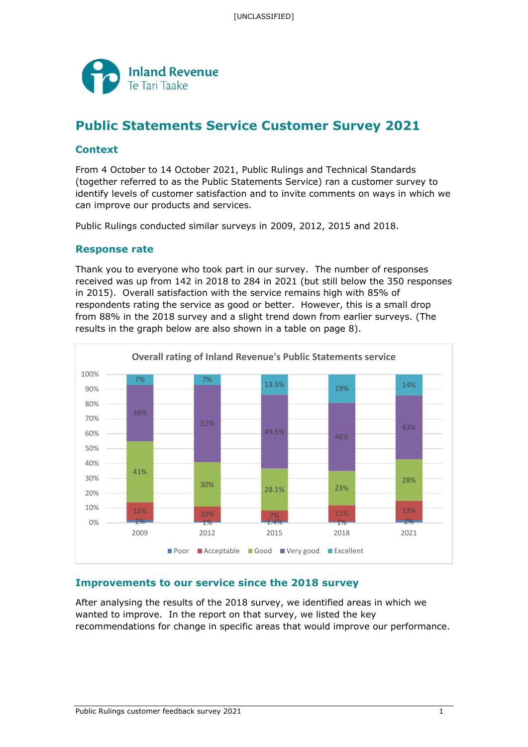

# **Public Statements Service Customer Survey 2021**

### **Context**

From 4 October to 14 October 2021, Public Rulings and Technical Standards (together referred to as the Public Statements Service) ran a customer survey to identify levels of customer satisfaction and to invite comments on ways in which we can improve our products and services.

Public Rulings conducted similar surveys in 2009, 2012, 2015 and 2018.

#### **Response rate**

Thank you to everyone who took part in our survey. The number of responses received was up from 142 in 2018 to 284 in 2021 (but still below the 350 responses in 2015). Overall satisfaction with the service remains high with 85% of respondents rating the service as good or better. However, this is a small drop from 88% in the 2018 survey and a slight trend down from earlier surveys. (The results in the graph below are also shown in a table on page 8).



# **Improvements to our service since the 2018 survey**

After analysing the results of the 2018 survey, we identified areas in which we wanted to improve. In the report on that survey, we listed the key recommendations for change in specific areas that would improve our performance.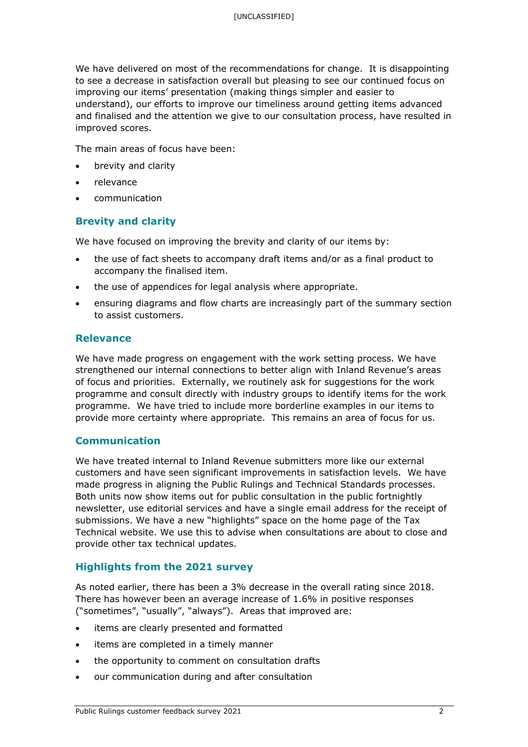We have delivered on most of the recommendations for change. It is disappointing to see a decrease in satisfaction overall but pleasing to see our continued focus on improving our items' presentation (making things simpler and easier to understand), our efforts to improve our timeliness around getting items advanced and finalised and the attention we give to our consultation process, have resulted in improved scores.

The main areas of focus have been:

- brevity and clarity
- relevance
- communication

#### **Brevity and clarity**

We have focused on improving the brevity and clarity of our items by:

- the use of fact sheets to accompany draft items and/or as a final product to accompany the finalised item.
- the use of appendices for legal analysis where appropriate.
- ensuring diagrams and flow charts are increasingly part of the summary section to assist customers.

#### **Relevance**

We have made progress on engagement with the work setting process. We have strengthened our internal connections to better align with Inland Revenue's areas of focus and priorities. Externally, we routinely ask for suggestions for the work programme and consult directly with industry groups to identify items for the work programme. We have tried to include more borderline examples in our items to provide more certainty where appropriate. This remains an area of focus for us.

#### **Communication**

We have treated internal to Inland Revenue submitters more like our external customers and have seen significant improvements in satisfaction levels. We have made progress in aligning the Public Rulings and Technical Standards processes. Both units now show items out for public consultation in the public fortnightly newsletter, use editorial services and have a single email address for the receipt of submissions. We have a new "highlights" space on the home page of the Tax Technical website. We use this to advise when consultations are about to close and provide other tax technical updates.

#### **Highlights from the 2021 survey**

As noted earlier, there has been a 3% decrease in the overall rating since 2018. There has however been an average increase of 1.6% in positive responses ("sometimes", "usually", "always"). Areas that improved are:

- items are clearly presented and formatted
- items are completed in a timely manner
- the opportunity to comment on consultation drafts
- our communication during and after consultation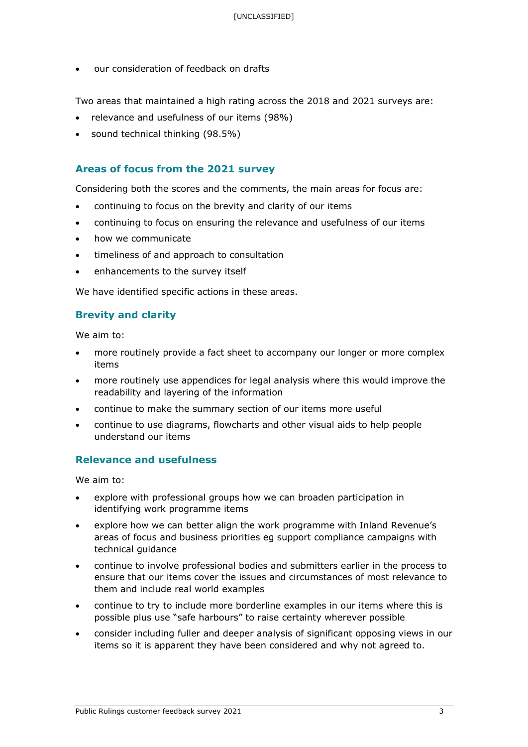• our consideration of feedback on drafts

Two areas that maintained a high rating across the 2018 and 2021 surveys are:

- relevance and usefulness of our items (98%)
- sound technical thinking (98.5%)

#### **Areas of focus from the 2021 survey**

Considering both the scores and the comments, the main areas for focus are:

- continuing to focus on the brevity and clarity of our items
- continuing to focus on ensuring the relevance and usefulness of our items
- how we communicate
- timeliness of and approach to consultation
- enhancements to the survey itself

We have identified specific actions in these areas.

# **Brevity and clarity**

We aim to:

- more routinely provide a fact sheet to accompany our longer or more complex items
- more routinely use appendices for legal analysis where this would improve the readability and layering of the information
- continue to make the summary section of our items more useful
- continue to use diagrams, flowcharts and other visual aids to help people understand our items

### **Relevance and usefulness**

We aim to:

- explore with professional groups how we can broaden participation in identifying work programme items
- explore how we can better align the work programme with Inland Revenue's areas of focus and business priorities eg support compliance campaigns with technical guidance
- continue to involve professional bodies and submitters earlier in the process to ensure that our items cover the issues and circumstances of most relevance to them and include real world examples
- continue to try to include more borderline examples in our items where this is possible plus use "safe harbours" to raise certainty wherever possible
- consider including fuller and deeper analysis of significant opposing views in our items so it is apparent they have been considered and why not agreed to.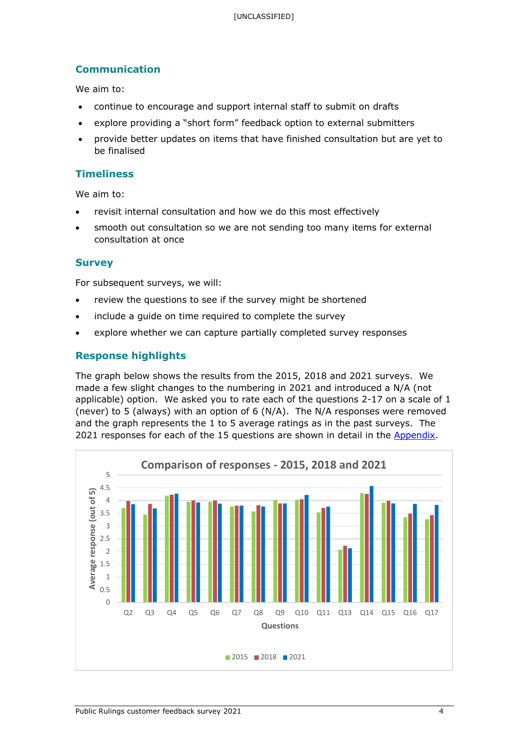# **Communication**

We aim to:

- continue to encourage and support internal staff to submit on drafts
- explore providing a "short form" feedback option to external submitters
- provide better updates on items that have finished consultation but are yet to be finalised

# **Timeliness**

We aim to:

- revisit internal consultation and how we do this most effectively
- smooth out consultation so we are not sending too many items for external consultation at once

#### **Survey**

For subsequent surveys, we will:

- review the questions to see if the survey might be shortened
- include a guide on time required to complete the survey
- explore whether we can capture partially completed survey responses

# **Response highlights**

The graph below shows the results from the 2015, 2018 and 2021 surveys. We made a few slight changes to the numbering in 2021 and introduced a N/A (not applicable) option. We asked you to rate each of the questions 2-17 on a scale of 1 (never) to 5 (always) with an option of 6 (N/A). The N/A responses were removed and the graph represents the 1 to 5 average ratings as in the past surveys. The 2021 responses for each of the 15 questions are shown in detail in the Appendix.

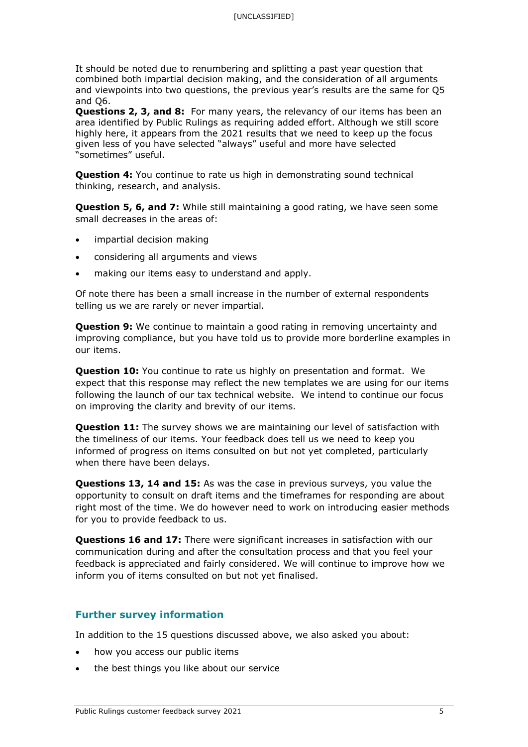It should be noted due to renumbering and splitting a past year question that combined both impartial decision making, and the consideration of all arguments and viewpoints into two questions, the previous year's results are the same for Q5 and Q6.

**Questions 2, 3, and 8:** For many years, the relevancy of our items has been an area identified by Public Rulings as requiring added effort. Although we still score highly here, it appears from the 2021 results that we need to keep up the focus given less of you have selected "always" useful and more have selected "sometimes" useful.

**Question 4:** You continue to rate us high in demonstrating sound technical thinking, research, and analysis.

**Question 5, 6, and 7:** While still maintaining a good rating, we have seen some small decreases in the areas of:

- impartial decision making
- considering all arguments and views
- making our items easy to understand and apply.

Of note there has been a small increase in the number of external respondents telling us we are rarely or never impartial.

**Question 9:** We continue to maintain a good rating in removing uncertainty and improving compliance, but you have told us to provide more borderline examples in our items.

**Question 10:** You continue to rate us highly on presentation and format. We expect that this response may reflect the new templates we are using for our items following the launch of our tax technical website. We intend to continue our focus on improving the clarity and brevity of our items.

**Question 11:** The survey shows we are maintaining our level of satisfaction with the timeliness of our items. Your feedback does tell us we need to keep you informed of progress on items consulted on but not yet completed, particularly when there have been delays.

**Questions 13, 14 and 15:** As was the case in previous surveys, you value the opportunity to consult on draft items and the timeframes for responding are about right most of the time. We do however need to work on introducing easier methods for you to provide feedback to us.

**Questions 16 and 17:** There were significant increases in satisfaction with our communication during and after the consultation process and that you feel your feedback is appreciated and fairly considered. We will continue to improve how we inform you of items consulted on but not yet finalised.

#### **Further survey information**

In addition to the 15 questions discussed above, we also asked you about:

- how you access our public items
- the best things you like about our service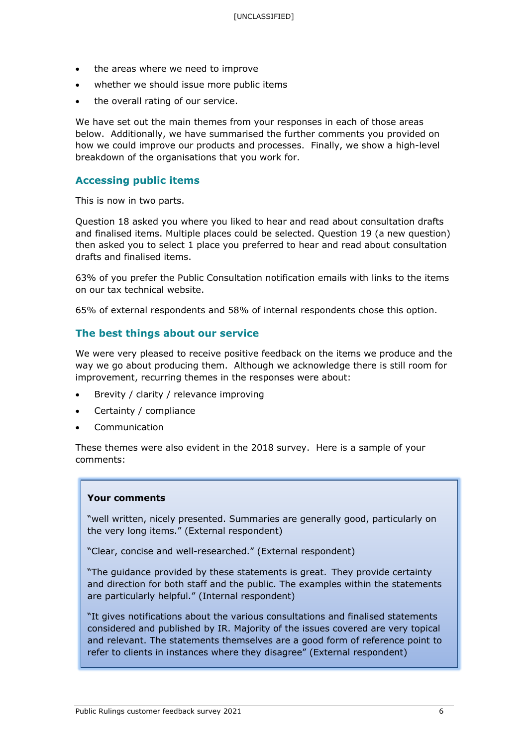- the areas where we need to improve
- whether we should issue more public items
- the overall rating of our service.

We have set out the main themes from your responses in each of those areas below. Additionally, we have summarised the further comments you provided on how we could improve our products and processes. Finally, we show a high-level breakdown of the organisations that you work for.

#### **Accessing public items**

This is now in two parts.

Question 18 asked you where you liked to hear and read about consultation drafts and finalised items. Multiple places could be selected. Question 19 (a new question) then asked you to select 1 place you preferred to hear and read about consultation drafts and finalised items.

63% of you prefer the Public Consultation notification emails with links to the items on our tax technical website.

65% of external respondents and 58% of internal respondents chose this option.

#### **The best things about our service**

We were very pleased to receive positive feedback on the items we produce and the way we go about producing them. Although we acknowledge there is still room for improvement, recurring themes in the responses were about:

- Brevity / clarity / relevance improving
- Certainty / compliance
- **Communication**

These themes were also evident in the 2018 survey. Here is a sample of your comments:

#### **Your comments**

"well written, nicely presented. Summaries are generally good, particularly on the very long items." (External respondent)

"Clear, concise and well-researched." (External respondent)

"The guidance provided by these statements is great.  They provide certainty and direction for both staff and the public. The examples within the statements are particularly helpful." (Internal respondent)

"It gives notifications about the various consultations and finalised statements considered and published by IR. Majority of the issues covered are very topical and relevant. The statements themselves are a good form of reference point to refer to clients in instances where they disagree" (External respondent)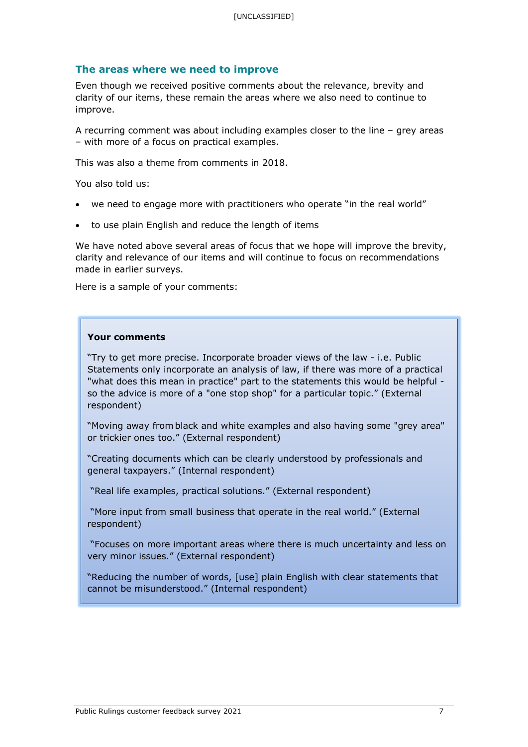#### **The areas where we need to improve**

Even though we received positive comments about the relevance, brevity and clarity of our items, these remain the areas where we also need to continue to improve.

A recurring comment was about including examples closer to the line – grey areas – with more of a focus on practical examples.

This was also a theme from comments in 2018.

You also told us:

- we need to engage more with practitioners who operate "in the real world"
- to use plain English and reduce the length of items

We have noted above several areas of focus that we hope will improve the brevity, clarity and relevance of our items and will continue to focus on recommendations made in earlier surveys.

Here is a sample of your comments:

#### **Your comments**

"Try to get more precise. Incorporate broader views of the law - i.e. Public Statements only incorporate an analysis of law, if there was more of a practical "what does this mean in practice" part to the statements this would be helpful so the advice is more of a "one stop shop" for a particular topic." (External respondent)

"Moving away from black and white examples and also having some "grey area" or trickier ones too." (External respondent)

"Creating documents which can be clearly understood by professionals and general taxpayers." (Internal respondent)

"Real life examples, practical solutions." (External respondent)

"More input from small business that operate in the real world." (External respondent)

"Focuses on more important areas where there is much uncertainty and less on very minor issues." (External respondent)

"Reducing the number of words, [use] plain English with clear statements that cannot be misunderstood." (Internal respondent)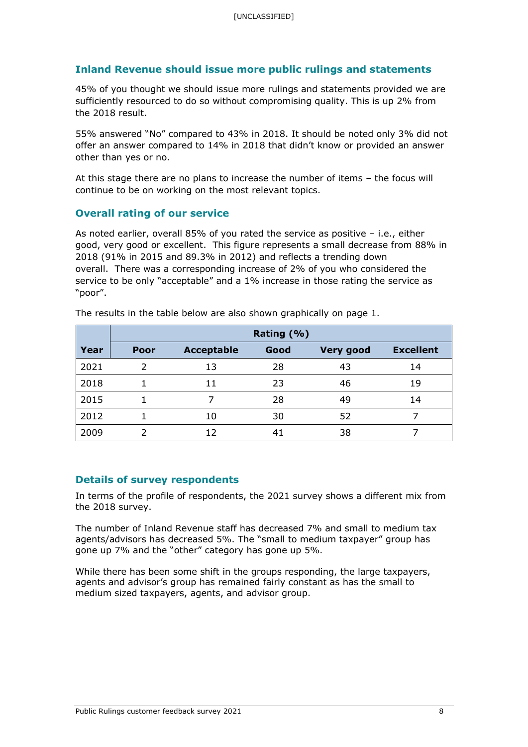# **Inland Revenue should issue more public rulings and statements**

45% of you thought we should issue more rulings and statements provided we are sufficiently resourced to do so without compromising quality. This is up 2% from the 2018 result.

55% answered "No" compared to 43% in 2018. It should be noted only 3% did not offer an answer compared to 14% in 2018 that didn't know or provided an answer other than yes or no.

At this stage there are no plans to increase the number of items – the focus will continue to be on working on the most relevant topics.

#### **Overall rating of our service**

As noted earlier, overall 85% of you rated the service as positive – i.e., either good, very good or excellent. This figure represents a small decrease from 88% in 2018 (91% in 2015 and 89.3% in 2012) and reflects a trending down overall. There was a corresponding increase of 2% of you who considered the service to be only "acceptable" and a 1% increase in those rating the service as "poor".

|             | Rating (%)  |                   |      |                  |                  |  |  |  |  |  |  |
|-------------|-------------|-------------------|------|------------------|------------------|--|--|--|--|--|--|
| <b>Year</b> | <b>Poor</b> | <b>Acceptable</b> | Good | <b>Very good</b> | <b>Excellent</b> |  |  |  |  |  |  |
| 2021        | っ           | 13                | 28   | 43               | 14               |  |  |  |  |  |  |
| 2018        |             | 11                | 23   | 46               | 19               |  |  |  |  |  |  |
| 2015        |             |                   | 28   | 49               | 14               |  |  |  |  |  |  |
| 2012        |             | 10                | 30   | 52               |                  |  |  |  |  |  |  |
| 2009        |             | 12                | 41   | 38               |                  |  |  |  |  |  |  |

The results in the table below are also shown graphically on page 1.

#### **Details of survey respondents**

In terms of the profile of respondents, the 2021 survey shows a different mix from the 2018 survey.

The number of Inland Revenue staff has decreased 7% and small to medium tax agents/advisors has decreased 5%. The "small to medium taxpayer" group has gone up 7% and the "other" category has gone up 5%.

While there has been some shift in the groups responding, the large taxpayers, agents and advisor's group has remained fairly constant as has the small to medium sized taxpayers, agents, and advisor group.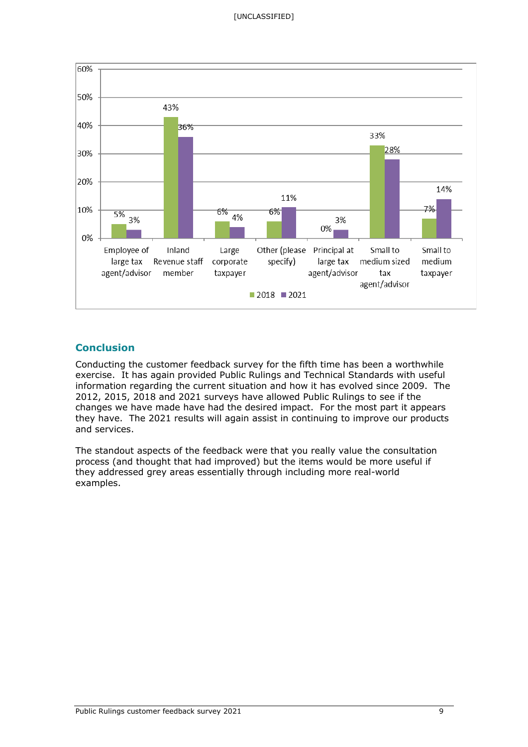

# **Conclusion**

Conducting the customer feedback survey for the fifth time has been a worthwhile exercise. It has again provided Public Rulings and Technical Standards with useful information regarding the current situation and how it has evolved since 2009. The 2012, 2015, 2018 and 2021 surveys have allowed Public Rulings to see if the changes we have made have had the desired impact. For the most part it appears they have. The 2021 results will again assist in continuing to improve our products and services.

The standout aspects of the feedback were that you really value the consultation process (and thought that had improved) but the items would be more useful if they addressed grey areas essentially through including more real-world examples.